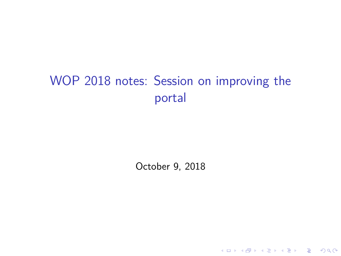# WOP 2018 notes: Session on improving the portal

October 9, 2018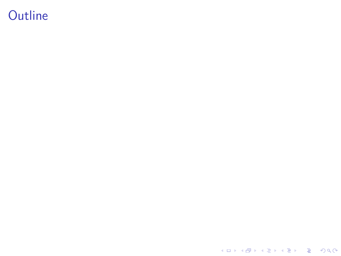Outline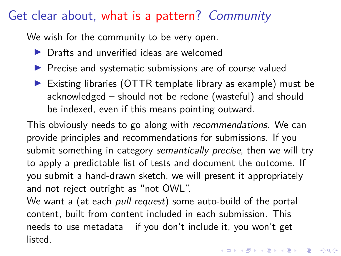#### Get clear about, what is a pattern? Community

We wish for the community to be very open.

- $\blacktriangleright$  Drafts and unverified ideas are welcomed
- $\blacktriangleright$  Precise and systematic submissions are of course valued
- $\triangleright$  Existing libraries (OTTR template library as example) must be acknowledged – should not be redone (wasteful) and should be indexed, even if this means pointing outward.

This obviously needs to go along with recommendations. We can provide principles and recommendations for submissions. If you submit something in category semantically precise, then we will try to apply a predictable list of tests and document the outcome. If you submit a hand-drawn sketch, we will present it appropriately and not reject outright as "not OWL".

We want a (at each pull request) some auto-build of the portal content, built from content included in each submission. This needs to use metadata – if you don't include it, you won't get listed.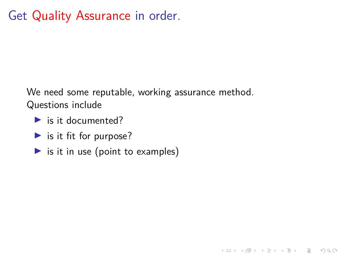## Get Quality Assurance in order.

We need some reputable, working assurance method. Questions include

- $\blacktriangleright$  is it documented?
- $\blacktriangleright$  is it fit for purpose?
- $\triangleright$  is it in use (point to examples)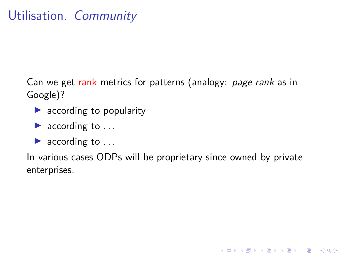## Utilisation. Community

Can we get rank metrics for patterns (analogy: page rank as in Google)?

- $\blacktriangleright$  according to popularity
- $\blacktriangleright$  according to ...
- $\blacktriangleright$  according to ...

In various cases ODPs will be proprietary since owned by private enterprises.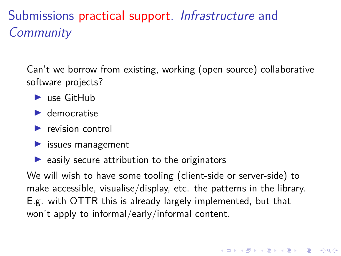### Submissions practical support. Infrastructure and **Community**

Can't we borrow from existing, working (open source) collaborative software projects?

- $\blacktriangleright$  use GitHub
- $\blacktriangleright$  democratise
- $\blacktriangleright$  revision control
- $\blacktriangleright$  issues management
- $\blacktriangleright$  easily secure attribution to the originators

We will wish to have some tooling (client-side or server-side) to make accessible, visualise/display, etc. the patterns in the library. E.g. with OTTR this is already largely implemented, but that won't apply to informal/early/informal content.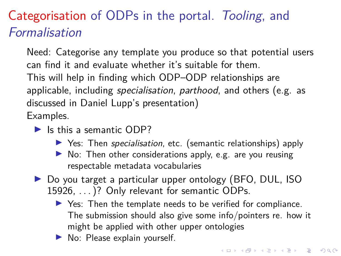#### Categorisation of ODPs in the portal. Tooling, and Formalisation

Need: Categorise any template you produce so that potential users can find it and evaluate whether it's suitable for them. This will help in finding which ODP–ODP relationships are applicable, including specialisation, parthood, and others (e.g. as discussed in Daniel Lupp's presentation) Examples.

- $\blacktriangleright$  Is this a semantic ODP?
	- ▶ Yes: Then specialisation, etc. (semantic relationships) apply
	- $\blacktriangleright$  No: Then other considerations apply, e.g. are you reusing respectable metadata vocabularies
- ▶ Do you target a particular upper ontology (BFO, DUL, ISO 15926, ...)? Only relevant for semantic ODPs.
	- I Yes: Then the template needs to be verified for compliance. The submission should also give some info/pointers re. how it might be applied with other upper ontologies
	- $\blacktriangleright$  No: Please explain yourself.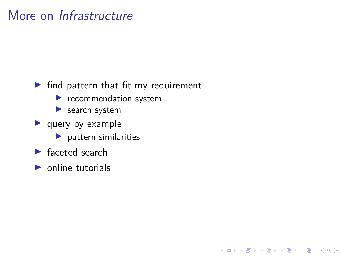### More on Infrastructure

- $\blacktriangleright$  find pattern that fit my requirement
	- $\blacktriangleright$  recommendation system
	- $\blacktriangleright$  search system
- $\blacktriangleright$  query by example
	- $\blacktriangleright$  pattern similarities
- $\blacktriangleright$  faceted search
- $\triangleright$  online tutorials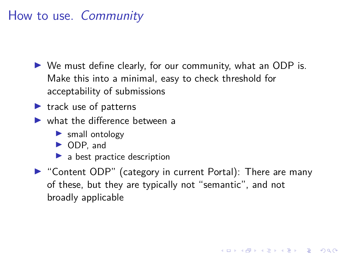### How to use. Community

- $\triangleright$  We must define clearly, for our community, what an ODP is. Make this into a minimal, easy to check threshold for acceptability of submissions
- $\blacktriangleright$  track use of patterns
- $\blacktriangleright$  what the difference between a
	- $\blacktriangleright$  small ontology
	- ▶ ODP, and
	- $\blacktriangleright$  a best practice description
- ▶ "Content ODP" (category in current Portal): There are many of these, but they are typically not "semantic", and not broadly applicable